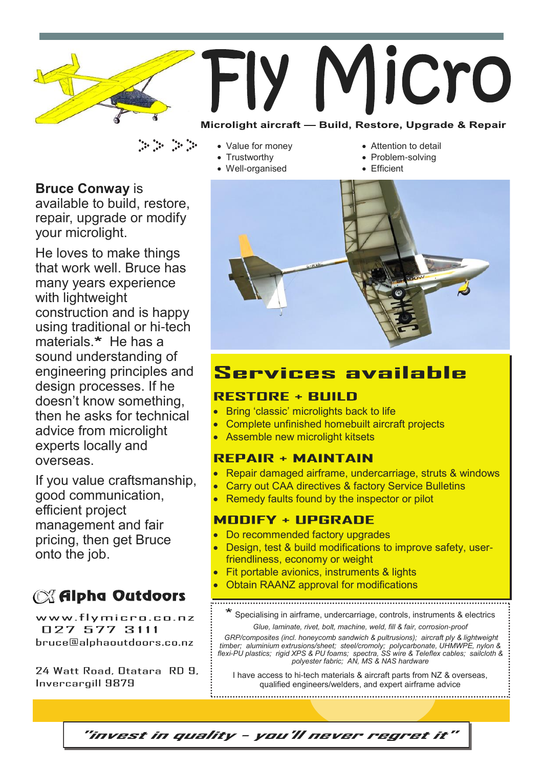

- Value for money
	- **Trustworthy**
	- Well-organised
- Attention to detail
- Problem-solving
- Efficient



## **Services available**

#### **RESTORE + BUILD**

- Bring 'classic' microlights back to life
- Complete unfinished homebuilt aircraft projects
- Assemble new microlight kitsets

### **REPAIR + MAINTAIN**

- Repair damaged airframe, undercarriage, struts & windows
- Carry out CAA directives & factory Service Bulletins
- Remedy faults found by the inspector or pilot

### **MODIFY + UPGRADE**

- Do recommended factory upgrades
- Design, test & build modifications to improve safety, userfriendliness, economy or weight
- **Fit portable avionics, instruments & lights**
- Obtain RAANZ approval for modifications

Specialising in airframe, undercarriage, controls, instruments & electrics

*Glue, laminate, rivet, bolt, machine, weld, fill & fair, corrosion-proof GRP/composites (incl. honeycomb sandwich & pultrusions); aircraft ply & lightweight timber; aluminium extrusions/sheet; steel/cromoly; polycarbonate, UHMWPE, nylon & flexi-PU plastics; rigid XPS & PU foams; spectra, SS wire & Teleflex cables; sailcloth & polyester fabric; AN, MS & NAS hardware*

I have access to hi-tech materials & aircraft parts from NZ & overseas, qualified engineers/welders, and expert airframe advice

**Bruce Conway** is

available to build, restore, repair, upgrade or modify your microlight.

He loves to make things that work well. Bruce has many years experience with lightweight construction and is happy using traditional or hi-tech materials.\* He has a sound understanding of engineering principles and design processes. If he doesn't know something, then he asks for technical advice from microlight experts locally and overseas.

If you value craftsmanship, good communication, efficient project management and fair pricing, then get Bruce onto the job.

# **ISS** Alpha Outdoors

www.flymicro.co.nz 027 577 3111 bruce@alphaoutdoors.co.nz

24 Watt Road, Otatara, RD 9. Invercargill 9879

"invest in quality - you'll never regret it